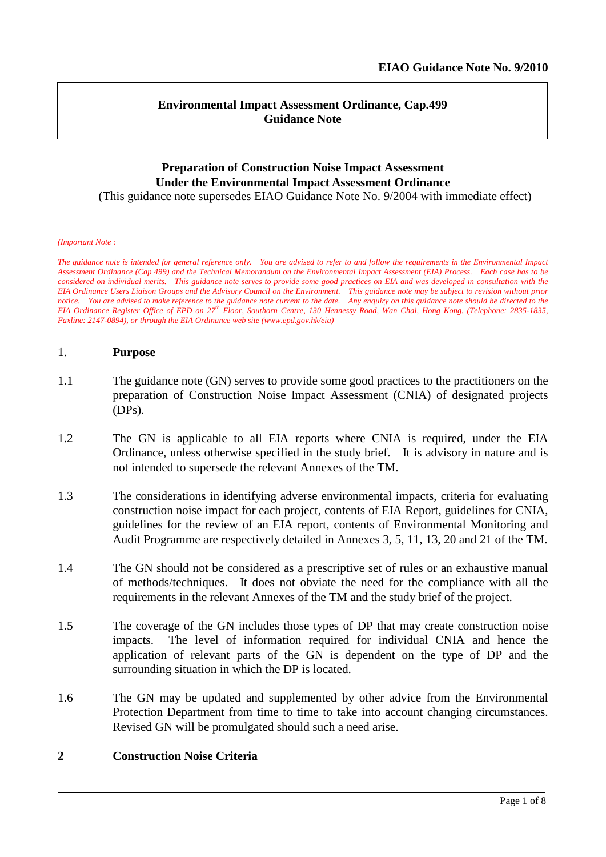### **Environmental Impact Assessment Ordinance, Cap.499 Guidance Note**

# **Preparation of Construction Noise Impact Assessment Under the Environmental Impact Assessment Ordinance**

(This guidance note supersedes EIAO Guidance Note No. 9/2004 with immediate effect)

#### *(Important Note :*

*The guidance note is intended for general reference only. You are advised to refer to and follow the requirements in the Environmental Impact Assessment Ordinance (Cap 499) and the Technical Memorandum on the Environmental Impact Assessment (EIA) Process. Each case has to be considered on individual merits. This guidance note serves to provide some good practices on EIA and was developed in consultation with the EIA Ordinance Users Liaison Groups and the Advisory Council on the Environment. This guidance note may be subject to revision without prior notice. You are advised to make reference to the guidance note current to the date. Any enquiry on this guidance note should be directed to the EIA Ordinance Register Office of EPD on 27 th Floor, Southorn Centre, 130 Hennessy Road, Wan Chai, Hong Kong. (Telephone: 2835-1835, Faxline: 2147-0894), or through the EIA Ordinance web site (www.epd.gov.hk/eia)*

#### 1. **Purpose**

- 1.1 The guidance note (GN) serves to provide some good practices to the practitioners on the preparation of Construction Noise Impact Assessment (CNIA) of designated projects (DPs).
- 1.2 The GN is applicable to all EIA reports where CNIA is required, under the EIA Ordinance, unless otherwise specified in the study brief. It is advisory in nature and is not intended to supersede the relevant Annexes of the TM.
- 1.3 The considerations in identifying adverse environmental impacts, criteria for evaluating construction noise impact for each project, contents of EIA Report, guidelines for CNIA, guidelines for the review of an EIA report, contents of Environmental Monitoring and Audit Programme are respectively detailed in Annexes 3, 5, 11, 13, 20 and 21 of the TM.
- 1.4 The GN should not be considered as a prescriptive set of rules or an exhaustive manual of methods/techniques. It does not obviate the need for the compliance with all the requirements in the relevant Annexes of the TM and the study brief of the project.
- 1.5 The coverage of the GN includes those types of DP that may create construction noise impacts. The level of information required for individual CNIA and hence the application of relevant parts of the GN is dependent on the type of DP and the surrounding situation in which the DP is located.
- 1.6 The GN may be updated and supplemented by other advice from the Environmental Protection Department from time to time to take into account changing circumstances. Revised GN will be promulgated should such a need arise.

### **2 Construction Noise Criteria**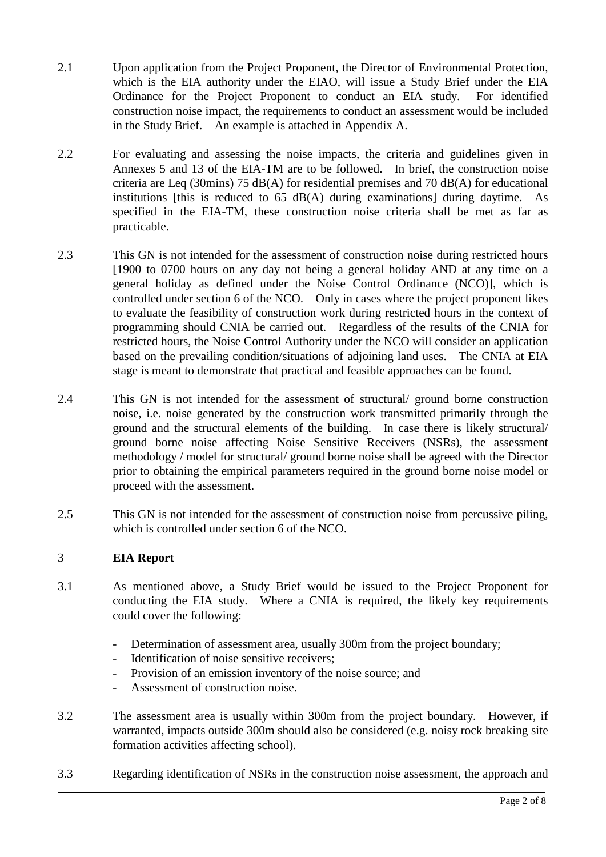- 2.1 Upon application from the Project Proponent, the Director of Environmental Protection, which is the EIA authority under the EIAO, will issue a Study Brief under the EIA Ordinance for the Project Proponent to conduct an EIA study. For identified construction noise impact, the requirements to conduct an assessment would be included in the Study Brief. An example is attached in Appendix A.
- 2.2 For evaluating and assessing the noise impacts, the criteria and guidelines given in Annexes 5 and 13 of the EIA-TM are to be followed. In brief, the construction noise criteria are Leq (30mins) 75 dB(A) for residential premises and 70 dB(A) for educational institutions [this is reduced to  $65$  dB(A) during examinations] during daytime. As specified in the EIA-TM, these construction noise criteria shall be met as far as practicable.
- 2.3 This GN is not intended for the assessment of construction noise during restricted hours [1900 to 0700 hours on any day not being a general holiday AND at any time on a general holiday as defined under the Noise Control Ordinance (NCO)], which is controlled under section 6 of the NCO. Only in cases where the project proponent likes to evaluate the feasibility of construction work during restricted hours in the context of programming should CNIA be carried out. Regardless of the results of the CNIA for restricted hours, the Noise Control Authority under the NCO will consider an application based on the prevailing condition/situations of adjoining land uses. The CNIA at EIA stage is meant to demonstrate that practical and feasible approaches can be found.
- 2.4 This GN is not intended for the assessment of structural/ ground borne construction noise, i.e. noise generated by the construction work transmitted primarily through the ground and the structural elements of the building. In case there is likely structural/ ground borne noise affecting Noise Sensitive Receivers (NSRs), the assessment methodology / model for structural/ ground borne noise shall be agreed with the Director prior to obtaining the empirical parameters required in the ground borne noise model or proceed with the assessment.
- 2.5 This GN is not intended for the assessment of construction noise from percussive piling, which is controlled under section 6 of the NCO.

## 3 **EIA Report**

- 3.1 As mentioned above, a Study Brief would be issued to the Project Proponent for conducting the EIA study. Where a CNIA is required, the likely key requirements could cover the following:
	- Determination of assessment area, usually 300m from the project boundary;
	- Identification of noise sensitive receivers;
	- Provision of an emission inventory of the noise source; and
	- Assessment of construction noise.
- 3.2 The assessment area is usually within 300m from the project boundary. However, if warranted, impacts outside 300m should also be considered (e.g. noisy rock breaking site formation activities affecting school).
- 3.3 Regarding identification of NSRs in the construction noise assessment, the approach and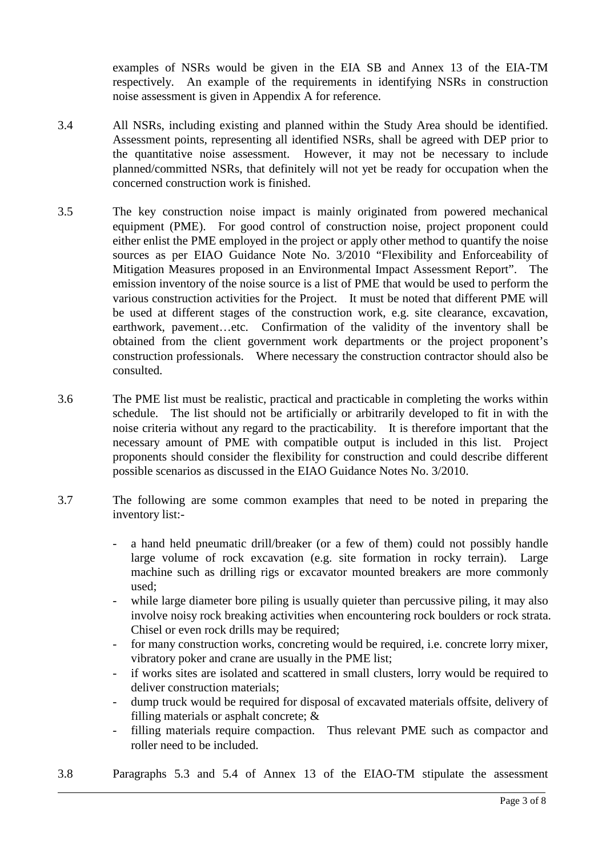examples of NSRs would be given in the EIA SB and Annex 13 of the EIA-TM respectively. An example of the requirements in identifying NSRs in construction noise assessment is given in Appendix A for reference.

- 3.4 All NSRs, including existing and planned within the Study Area should be identified. Assessment points, representing all identified NSRs, shall be agreed with DEP prior to the quantitative noise assessment. However, it may not be necessary to include planned/committed NSRs, that definitely will not yet be ready for occupation when the concerned construction work is finished.
- 3.5 The key construction noise impact is mainly originated from powered mechanical equipment (PME). For good control of construction noise, project proponent could either enlist the PME employed in the project or apply other method to quantify the noise sources as per EIAO Guidance Note No. 3/2010 "Flexibility and Enforceability of Mitigation Measures proposed in an Environmental Impact Assessment Report". The emission inventory of the noise source is a list of PME that would be used to perform the various construction activities for the Project. It must be noted that different PME will be used at different stages of the construction work, e.g. site clearance, excavation, earthwork, pavement…etc. Confirmation of the validity of the inventory shall be obtained from the client government work departments or the project proponent's construction professionals. Where necessary the construction contractor should also be consulted.
- 3.6 The PME list must be realistic, practical and practicable in completing the works within schedule. The list should not be artificially or arbitrarily developed to fit in with the noise criteria without any regard to the practicability. It is therefore important that the necessary amount of PME with compatible output is included in this list. Project proponents should consider the flexibility for construction and could describe different possible scenarios as discussed in the EIAO Guidance Notes No. 3/2010.
- 3.7 The following are some common examples that need to be noted in preparing the inventory list:-
	- a hand held pneumatic drill/breaker (or a few of them) could not possibly handle large volume of rock excavation (e.g. site formation in rocky terrain). Large machine such as drilling rigs or excavator mounted breakers are more commonly used;
	- while large diameter bore piling is usually quieter than percussive piling, it may also involve noisy rock breaking activities when encountering rock boulders or rock strata. Chisel or even rock drills may be required;
	- for many construction works, concreting would be required, i.e. concrete lorry mixer, vibratory poker and crane are usually in the PME list;
	- if works sites are isolated and scattered in small clusters, lorry would be required to deliver construction materials;
	- dump truck would be required for disposal of excavated materials offsite, delivery of filling materials or asphalt concrete; &
	- filling materials require compaction. Thus relevant PME such as compactor and roller need to be included.
- 3.8 Paragraphs 5.3 and 5.4 of Annex 13 of the EIAO-TM stipulate the assessment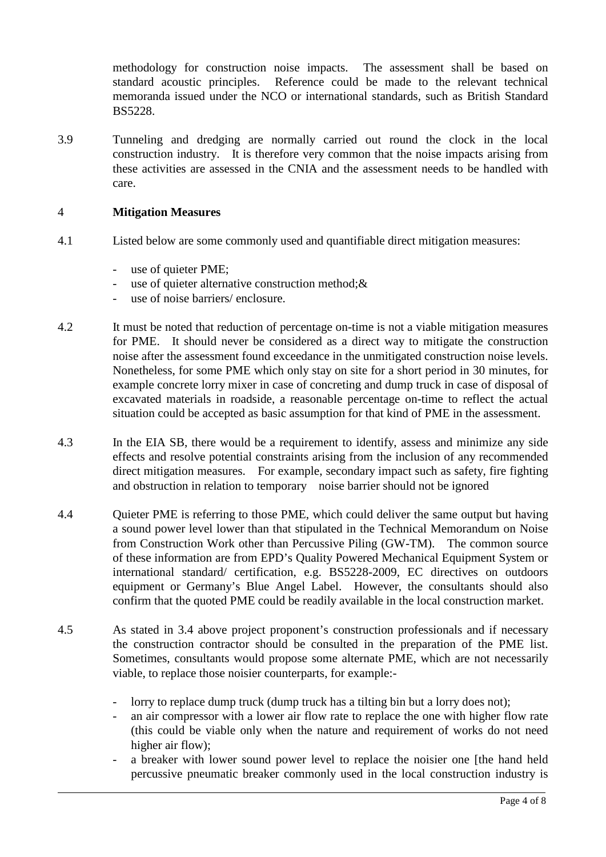methodology for construction noise impacts. The assessment shall be based on standard acoustic principles. Reference could be made to the relevant technical memoranda issued under the NCO or international standards, such as British Standard BS5228.

3.9 Tunneling and dredging are normally carried out round the clock in the local construction industry. It is therefore very common that the noise impacts arising from these activities are assessed in the CNIA and the assessment needs to be handled with care.

### 4 **Mitigation Measures**

- 4.1 Listed below are some commonly used and quantifiable direct mitigation measures:
	- use of quieter PME:
	- use of quieter alternative construction method;  $\&$
	- use of noise barriers/ enclosure.
- 4.2 It must be noted that reduction of percentage on-time is not a viable mitigation measures for PME. It should never be considered as a direct way to mitigate the construction noise after the assessment found exceedance in the unmitigated construction noise levels. Nonetheless, for some PME which only stay on site for a short period in 30 minutes, for example concrete lorry mixer in case of concreting and dump truck in case of disposal of excavated materials in roadside, a reasonable percentage on-time to reflect the actual situation could be accepted as basic assumption for that kind of PME in the assessment.
- 4.3 In the EIA SB, there would be a requirement to identify, assess and minimize any side effects and resolve potential constraints arising from the inclusion of any recommended direct mitigation measures. For example, secondary impact such as safety, fire fighting and obstruction in relation to temporary noise barrier should not be ignored
- 4.4 Quieter PME is referring to those PME, which could deliver the same output but having a sound power level lower than that stipulated in the Technical Memorandum on Noise from Construction Work other than Percussive Piling (GW-TM). The common source of these information are from EPD's Quality Powered Mechanical Equipment System or international standard/ certification, e.g. BS5228-2009, EC directives on outdoors equipment or Germany's Blue Angel Label. However, the consultants should also confirm that the quoted PME could be readily available in the local construction market.
- 4.5 As stated in 3.4 above project proponent's construction professionals and if necessary the construction contractor should be consulted in the preparation of the PME list. Sometimes, consultants would propose some alternate PME, which are not necessarily viable, to replace those noisier counterparts, for example:
	- lorry to replace dump truck (dump truck has a tilting bin but a lorry does not);
	- an air compressor with a lower air flow rate to replace the one with higher flow rate (this could be viable only when the nature and requirement of works do not need higher air flow):
	- a breaker with lower sound power level to replace the noisier one [the hand held percussive pneumatic breaker commonly used in the local construction industry is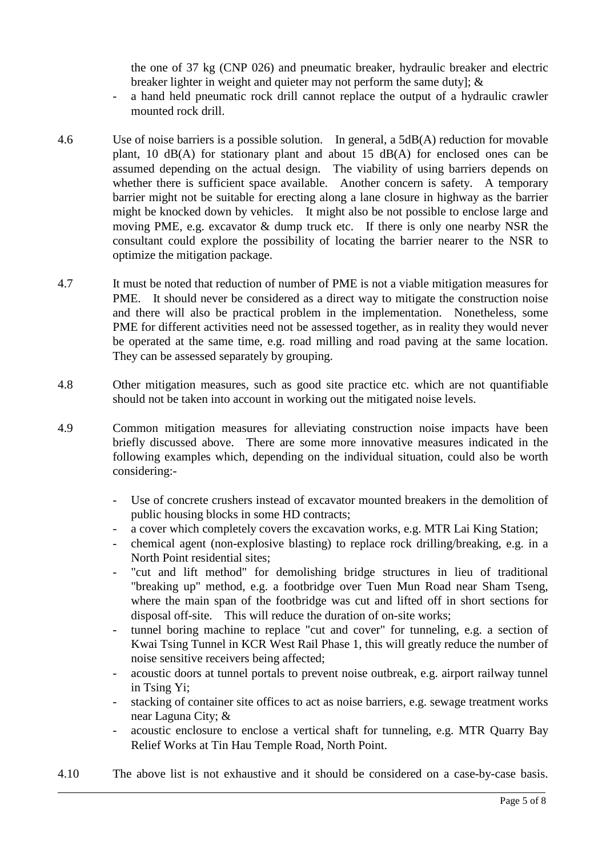the one of 37 kg (CNP 026) and pneumatic breaker, hydraulic breaker and electric breaker lighter in weight and quieter may not perform the same duty]; &

- a hand held pneumatic rock drill cannot replace the output of a hydraulic crawler mounted rock drill.
- 4.6 Use of noise barriers is a possible solution. In general, a 5dB(A) reduction for movable plant, 10 dB(A) for stationary plant and about 15 dB(A) for enclosed ones can be assumed depending on the actual design. The viability of using barriers depends on whether there is sufficient space available. Another concern is safety. A temporary barrier might not be suitable for erecting along a lane closure in highway as the barrier might be knocked down by vehicles. It might also be not possible to enclose large and moving PME, e.g. excavator & dump truck etc. If there is only one nearby NSR the consultant could explore the possibility of locating the barrier nearer to the NSR to optimize the mitigation package.
- 4.7 It must be noted that reduction of number of PME is not a viable mitigation measures for PME. It should never be considered as a direct way to mitigate the construction noise and there will also be practical problem in the implementation. Nonetheless, some PME for different activities need not be assessed together, as in reality they would never be operated at the same time, e.g. road milling and road paving at the same location. They can be assessed separately by grouping.
- 4.8 Other mitigation measures, such as good site practice etc. which are not quantifiable should not be taken into account in working out the mitigated noise levels.
- 4.9 Common mitigation measures for alleviating construction noise impacts have been briefly discussed above. There are some more innovative measures indicated in the following examples which, depending on the individual situation, could also be worth considering:-
	- Use of concrete crushers instead of excavator mounted breakers in the demolition of public housing blocks in some HD contracts;
	- a cover which completely covers the excavation works, e.g. MTR Lai King Station;
	- chemical agent (non-explosive blasting) to replace rock drilling/breaking, e.g. in a North Point residential sites;
	- "cut and lift method" for demolishing bridge structures in lieu of traditional "breaking up" method, e.g. a footbridge over Tuen Mun Road near Sham Tseng, where the main span of the footbridge was cut and lifted off in short sections for disposal off-site. This will reduce the duration of on-site works;
	- tunnel boring machine to replace "cut and cover" for tunneling, e.g. a section of Kwai Tsing Tunnel in KCR West Rail Phase 1, this will greatly reduce the number of noise sensitive receivers being affected;
	- acoustic doors at tunnel portals to prevent noise outbreak, e.g. airport railway tunnel in Tsing Yi;
	- stacking of container site offices to act as noise barriers, e.g. sewage treatment works near Laguna City; &
	- acoustic enclosure to enclose a vertical shaft for tunneling, e.g. MTR Quarry Bay Relief Works at Tin Hau Temple Road, North Point.
- 4.10 The above list is not exhaustive and it should be considered on a case-by-case basis.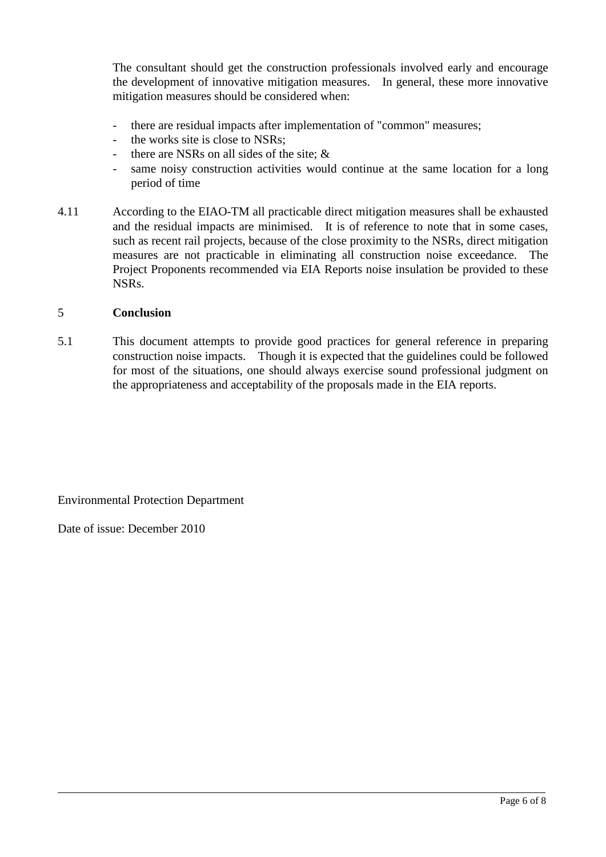The consultant should get the construction professionals involved early and encourage the development of innovative mitigation measures. In general, these more innovative mitigation measures should be considered when:

- there are residual impacts after implementation of "common" measures;
- the works site is close to NSRs:
- there are NSRs on all sides of the site;  $\&$
- same noisy construction activities would continue at the same location for a long period of time
- 4.11 According to the EIAO-TM all practicable direct mitigation measures shall be exhausted and the residual impacts are minimised. It is of reference to note that in some cases, such as recent rail projects, because of the close proximity to the NSRs, direct mitigation measures are not practicable in eliminating all construction noise exceedance. The Project Proponents recommended via EIA Reports noise insulation be provided to these NSRs.

#### 5 **Conclusion**

5.1 This document attempts to provide good practices for general reference in preparing construction noise impacts. Though it is expected that the guidelines could be followed for most of the situations, one should always exercise sound professional judgment on the appropriateness and acceptability of the proposals made in the EIA reports.

Environmental Protection Department

Date of issue: December 2010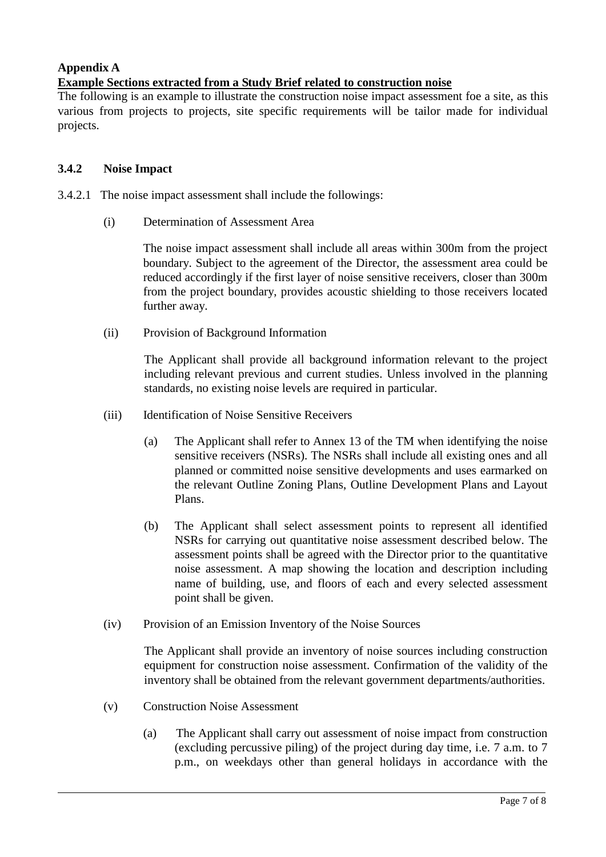# **Appendix A**

## **Example Sections extracted from a Study Brief related to construction noise**

The following is an example to illustrate the construction noise impact assessment foe a site, as this various from projects to projects, site specific requirements will be tailor made for individual projects.

## **3.4.2 Noise Impact**

- 3.4.2.1 The noise impact assessment shall include the followings:
	- (i) Determination of Assessment Area

The noise impact assessment shall include all areas within 300m from the project boundary. Subject to the agreement of the Director, the assessment area could be reduced accordingly if the first layer of noise sensitive receivers, closer than 300m from the project boundary, provides acoustic shielding to those receivers located further away.

(ii) Provision of Background Information

The Applicant shall provide all background information relevant to the project including relevant previous and current studies. Unless involved in the planning standards, no existing noise levels are required in particular.

- (iii) Identification of Noise Sensitive Receivers
	- (a) The Applicant shall refer to Annex 13 of the TM when identifying the noise sensitive receivers (NSRs). The NSRs shall include all existing ones and all planned or committed noise sensitive developments and uses earmarked on the relevant Outline Zoning Plans, Outline Development Plans and Layout Plans.
	- (b) The Applicant shall select assessment points to represent all identified NSRs for carrying out quantitative noise assessment described below. The assessment points shall be agreed with the Director prior to the quantitative noise assessment. A map showing the location and description including name of building, use, and floors of each and every selected assessment point shall be given.
- (iv) Provision of an Emission Inventory of the Noise Sources

The Applicant shall provide an inventory of noise sources including construction equipment for construction noise assessment. Confirmation of the validity of the inventory shall be obtained from the relevant government departments/authorities.

- (v) Construction Noise Assessment
	- (a) The Applicant shall carry out assessment of noise impact from construction (excluding percussive piling) of the project during day time, i.e. 7 a.m. to 7 p.m., on weekdays other than general holidays in accordance with the